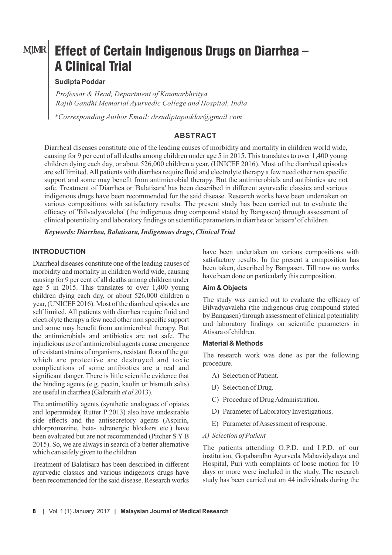# MJMR Effect of Certain Indigenous Drugs on Diarrhea -A Clinical Trial

## **Sudipta Poddar**

*Professor & Head, Department of Kaumarbhritya Rajib Gandhi Memorial Ayurvedic College and Hospital, India*

*\*Corresponding Author Email: drsudiptapoddar@gmail.com* 

# **ABSTRACT**

Diarrheal diseases constitute one of the leading causes of morbidity and mortality in children world wide, causing for 9 per cent of all deaths among children under age 5 in 2015. This translates to over 1,400 young children dying each day, or about 526,000 children a year, (UNICEF 2016). Most of the diarrheal episodes are self limited. All patients with diarrhea require fluid and electrolyte therapy a few need other non specific support and some may benefit from antimicrobial therapy. But the antimicrobials and antibiotics are not safe. Treatment of Diarrhea or 'Balatisara' has been described in different ayurvedic classics and various indigenous drugs have been recommended for the said disease. Research works have been undertaken on various compositions with satisfactory results. The present study has been carried out to evaluate the efficacy of 'Bilvadyavaleha' (the indigenous drug compound stated by Bangasen) through assessment of clinical potentiality and laboratory findings on scientific parameters in diarrhea or 'atisara' of children.

*Keywords: Diarrhea, Balatisara, Indigenous drugs, Clinical Trial*

#### **INTRODUCTION**

Diarrheal diseases constitute one of the leading causes of morbidity and mortality in children world wide, causing causing for 9 per cent of all deaths among children under age 5 in 2015. This translates to over 1,400 young children dying each day, or about 526,000 children a year, (UNICEF 2016). Most of the diarrheal episodes are self limited. All patients with diarrhea require fluid and electrolyte therapy a few need other non specific support and some may benefit from antimicrobial therapy. But the antimicrobials and antibiotics are not safe. The injudicious use of antimicrobial agents cause emergence of resistant strains of organisms, resistant flora of the gut which are protective are destroyed and toxic complications of some antibiotics are a real and significant danger. There is little scientific evidence that the binding agents (e.g. pectin, kaolin or bismuth salts) are useful in diarrhea (Galbraith *et al* 2013).

The antimotility agents (synthetic analogues of opiates and loperamide)( Rutter P 2013) also have undesirable side effects and the antisecretory agents (Aspirin, chlorpromazine, beta- adrenergic blockers etc.) have been evaluated but are not recommended (Pitcher S Y B 2015). So, we are always in search of a better alternative which can safely given to the children.

Treatment of Balatisara has been described in different ayurvedic classics and various indigenous drugs have been recommended for the said disease. Research works have been undertaken on various compositions with satisfactory results. In the present a composition has been taken, described by Bangasen. Till now no works have been done on particularly this composition.

## **Aim & Objects**

The study was carried out to evaluate the efficacy of Bilvadyavaleha (the indigenous drug compound stated by Bangasen) through assessment of clinical potentiality and laboratory findings on scientific parameters in Atisara of children.

#### **Material & Methods**

The research work was done as per the following procedure.

- A) Selection of Patient.
- B) Selection of Drug.
- C) Procedure of Drug Administration.
- D) Parameter of Laboratory Investigations.
- E) Parameter of Assessment of response.

#### *A) Selection of Patient*

The patients attending O.P.D. and I.P.D. of our institution, Gopabandhu Ayurveda Mahavidyalaya and Hospital, Puri with complaints of loose motion for 10 days or more were included in the study. The research study has been carried out on 44 individuals during the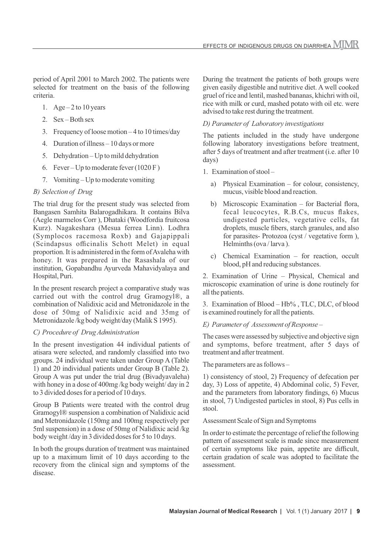period of April 2001 to March 2002. The patients were selected for treatment on the basis of the following criteria.

- 1. Age  $-2$  to 10 years
- 2. Sex Both sex
- 3. Frequency of loose motion 4 to 10 times/day
- 4. Duration of illness 10 days or more
- 5. Dehydration Up to mild dehydration
- 6. Fever Up to moderate fever  $(1020 F)$
- 7. Vomiting Up to moderate vomiting

## *B) Selection of Drug*

The trial drug for the present study was selected from Bangasen Samhita Balarogadhikara. It contains Bilva (Aegle marmelos Corr ), Dhataki (Woodfordia fruitcosa Kurz). Nagakeshara (Mesua ferrea Linn). Lodhra (Symplocos racemosa Roxb) and Gajapippali (Scindapsus officinalis Schott Melet) in equal proportion. It is administered in the form of Avaleha with honey. It was prepared in the Rasashala of our institution, Gopabandhu Ayurveda Mahavidyalaya and Hospital, Puri.

In the present research project a comparative study was carried out with the control drug Gramogyl®, a combination of Nalidixic acid and Metronidazole in the dose of 50mg of Nalidixic acid and 35mg of Metronidazole /kg body weight/day (Malik S 1995).

## *C) Procedure of Drug Administration*

In the present investigation 44 individual patients of atisara were selected, and randomly classified into two groups. 24 individual were taken under Group A (Table 1) and 20 individual patients under Group B (Table 2). Group A was put under the trial drug (Bivadyavaleha) with honey in a dose of 400mg /kg body weight/ day in 2 to 3 divided doses for a period of 10 days.

Group B Patients were treated with the control drug Gramogyl® suspension a combination of Nalidixic acid and Metronidazole (150mg and 100mg respectively per 5ml suspension) in a dose of 50mg of Nalidixic acid /kg body weight /day in 3 divided doses for 5 to 10 days.

In both the groups duration of treatment was maintained up to a maximum limit of 10 days according to the recovery from the clinical sign and symptoms of the disease.

During the treatment the patients of both groups were given easily digestible and nutritive diet. A well cooked gruel of rice and lentil, mashed bananas, khichri with oil, rice with milk or curd, mashed potato with oil etc. were advised to take rest during the treatment.

## *D) Parameter of Laboratory investigations*

The patients included in the study have undergone following laboratory investigations before treatment, after 5 days of treatment and after treatment (i.e. after 10 days)

- 1. Examination of stool
	- a) Physical Examination for colour, consistency, mucus, visible blood and reaction.
	- b) Microscopic Examination for Bacterial flora, fecal leucocytes, R.B.Cs, mucus flakes, undigested particles, vegetative cells, fat droplets, muscle fibers, starch granules, and also for parasites- Protozoa (cyst / vegetative form ), Helminths (ova / larva ).
	- c) Chemical Examination for reaction, occult blood, pH and reducing substances.

2. Examination of Urine – Physical, Chemical and microscopic examination of urine is done routinely for all the patients.

3. Examination of Blood – Hb% , TLC, DLC, of blood is examined routinely for all the patients.

*E) Parameter of Assessment of Response –*

The cases were assessed by subjective and objective sign and symptoms, before treatment, after 5 days of treatment and after treatment.

The parameters are as follows –

1) consistency of stool, 2) Frequency of defecation per day, 3) Loss of appetite, 4) Abdominal colic, 5) Fever, and the parameters from laboratory findings, 6) Mucus in stool, 7) Undigested particles in stool, 8) Pus cells in stool.

Assessment Scale of Sign and Symptoms

In order to estimate the percentage of relief the following pattern of assessment scale is made since measurement of certain symptoms like pain, appetite are difficult, certain gradation of scale was adopted to facilitate the assessment.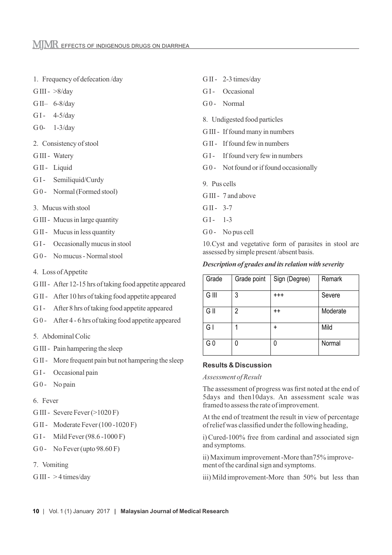- 1. Frequency of defecation /day
- G III  $>8$ /day
- G II– 6-8/day
- G I  $4-5$ /day
- G 0- 1-3/day
- 2. Consistency of stool
- G III Watery
- G II Liquid
- G I Semiliquid/Curdy
- G 0 Normal (Formed stool)
- 3. Mucus with stool
- G III Mucus in large quantity
- G II Mucus in less quantity
- G I Occasionally mucus in stool
- G 0 No mucus Normal stool
- 4. Loss of Appetite
- G III After 12-15 hrs of taking food appetite appeared
- G II After 10 hrs of taking food appetite appeared
- G I After 8 hrs of taking food appetite appeared
- G 0 After 4 6 hrs of taking food appetite appeared
- 5. Abdominal Colic
- G III Pain hampering the sleep
- G II More frequent pain but not hampering the sleep
- G I Occasional pain
- G0- No pain

# 6. Fever

- G III Severe Fever (>1020 F)
- G II Moderate Fever (100 -1020 F)
- G I Mild Fever (98.6 -1000 F)
- G 0 No Fever (upto  $98.60 \text{ F}$ )
- 7. Vomiting
- G III  $>$  4 times/day
- G II 2-3 times/day
- G<sub>I</sub>-Occasional
- G<sub>0</sub>- Normal
- 8. Undigested food particles
- G III If found many in numbers
- G II If found few in numbers
- G I If found very few in numbers
- G 0 Not found or if found occasionally
- 9. Pus cells
- G III 7 and above
- $GII 3-7$
- $G I 1-3$
- G 0 No pus cell

10. Cyst and vegetative form of parasites in stool are assessed by simple present /absent basis.

#### *Description of grades and its relation with severity*

| Grade          | Grade point | Sign (Degree)   | Remark   |
|----------------|-------------|-----------------|----------|
| G III          | 3           | $^{++}$         | Severe   |
| G II           | 2           | $^{\mathrm{+}}$ | Moderate |
| GI             |             | $\ddag$         | Mild     |
| G <sub>0</sub> | 0           | 0               | Normal   |

## **Results & Discussion**

*Assessment of Result*

The assessment of progress was first noted at the end of 5days and then10days. An assessment scale was framed to assess the rate of improvement.

At the end of treatment the result in view of percentage of relief was classified under the following heading,

i) Cured- 100% free from cardinal and associated sign and symptoms.

ii) Maximum improvement - More than 75% improvement of the cardinal sign and symptoms.

iii) Mild improvement-More than 50% but less than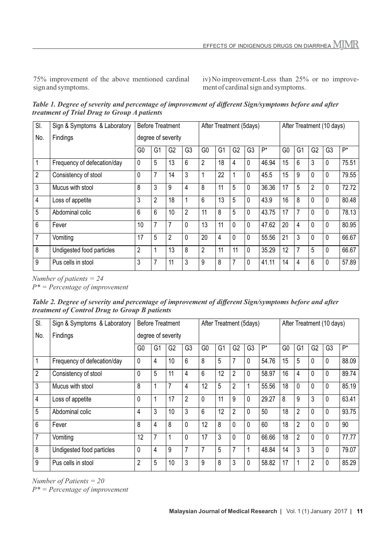75% improvement of the above mentioned cardinal sign and symptoms.

iv) No improvement-Less than 25% or no improvement of cardinal sign and symptoms.

*Table 1. Degree of severity and percentage of improvement of different Sign/symptoms before and after treatment of Trial Drug to Group A patients*

| SI.            | <b>Before Treatment</b><br>Sign & Symptoms & Laboratory |                |                    |                | After Treatment (5days) |                |    |                |                |       | After Treatment (10 days) |                |                |                |       |
|----------------|---------------------------------------------------------|----------------|--------------------|----------------|-------------------------|----------------|----|----------------|----------------|-------|---------------------------|----------------|----------------|----------------|-------|
| No.            | Findings                                                |                | degree of severity |                |                         |                |    |                |                |       |                           |                |                |                |       |
|                |                                                         | G0             | G <sub>1</sub>     | G2             | G <sub>3</sub>          | G <sub>0</sub> | G1 | G <sub>2</sub> | G <sub>3</sub> | P*    | G <sub>0</sub>            | G <sub>1</sub> | G <sub>2</sub> | G <sub>3</sub> | $P^*$ |
|                | Frequency of defecation/day                             | $\mathbf 0$    | 5                  | 13             | 6                       | $\overline{2}$ | 18 | 4              | 0              | 46.94 | 15                        | 6              | 3              | $\mathbf 0$    | 75.51 |
| $\overline{2}$ | Consistency of stool                                    | $\mathbf 0$    | $\overline{7}$     | 14             | 3                       | 4              | 22 |                | 0              | 45.5  | 15                        | 9              | 0              | $\mathbf 0$    | 79.55 |
| 3              | Mucus with stool                                        | 8              | 3                  | 9              | 4                       | 8              | 11 | 5              | 0              | 36.36 | 17                        | 5              | $\overline{2}$ | 0              | 72.72 |
| 4              | Loss of appetite                                        | 3              | 2                  | 18             | 1                       | 6              | 13 | 5              | 0              | 43.9  | 16                        | 8              | 0              | 0              | 80.48 |
| 5              | Abdominal colic                                         | 6              | 6                  | 10             | $\overline{2}$          | 11             | 8  | 5              | 0              | 43.75 | 17                        | 7              | 0              | $\mathbf 0$    | 78.13 |
| 6              | Fever                                                   | 10             | 7                  | 7              | $\mathbf{0}$            | 13             | 11 | $\mathbf 0$    | 0              | 47.62 | 20                        | 4              | 0              | $\mathbf 0$    | 80.95 |
| 7              | Vomiting                                                | 17             | 5                  | $\overline{2}$ | 0                       | 20             | 4  | 0              | 0              | 55.56 | 21                        | 3              | 0              | 0              | 66.67 |
| 8              | Undigested food particles                               | $\overline{2}$ |                    | 13             | 8                       | $\overline{2}$ | 11 | 11             | 0              | 35.29 | 12                        | 7              | 5              | 0              | 66.67 |
| 9              | Pus cells in stool                                      | 3              | 7                  | 11             | 3                       | 9              | 8  | $\overline{7}$ | 0              | 41.11 | 14                        | 4              | 6              | 0              | 57.89 |

*Number of patients = 24*

*P\* = Percentage of improvement*

*Table 2. Degree of severity and percentage of improvement of different Sign/symptoms before and after treatment of Control Drug to Group B patients*

| SI. | <b>Before Treatment</b><br>Sign & Symptoms & Laboratory |                    |    |                | After Treatment (5days) |                |                |                |              | After Treatment (10 days) |                |                |                |          |       |
|-----|---------------------------------------------------------|--------------------|----|----------------|-------------------------|----------------|----------------|----------------|--------------|---------------------------|----------------|----------------|----------------|----------|-------|
| No. | Findings                                                | degree of severity |    |                |                         |                |                |                |              |                           |                |                |                |          |       |
|     |                                                         | G <sub>0</sub>     | G1 | G <sub>2</sub> | G <sub>3</sub>          | G <sub>0</sub> | G <sub>1</sub> | G <sub>2</sub> | G3           | Þ*                        | G <sub>0</sub> | G1             | G <sub>2</sub> | G3       | $P^*$ |
|     | Frequency of defecation/day                             | $\mathbf 0$        | 4  | 10             | 6                       | 8              | 5              | 7              | 0            | 54.76                     | 15             | 5              | 0              | 0        | 88.09 |
| 2   | Consistency of stool                                    | $\mathbf{0}$       | 5  | 11             | 4                       | 6              | 12             | $\overline{2}$ | 0            | 58.97                     | 16             | 4              | $\mathbf 0$    | 0        | 89.74 |
| 3   | Mucus with stool                                        | 8                  | 1  | 7              | 4                       | 12             | 5              | $\overline{2}$ | 1            | 55.56                     | 18             | 0              | 0              | 0        | 85.19 |
| 4   | Loss of appetite                                        | $\mathbf 0$        | 1  | 17             | $\overline{2}$          | 0              | 11             | 9              | 0            | 29.27                     | 8              | 9              | 3              | 0        | 63.41 |
| 5   | Abdominal colic                                         | 4                  | 3  | 10             | 3                       | 6              | 12             | $\overline{2}$ | 0            | 50                        | 18             | $\overline{2}$ | $\mathbf{0}$   | 0        | 93.75 |
| 6   | Fever                                                   | 8                  | 4  | 8              | 0                       | 12             | 8              | $\mathbf 0$    | 0            | 60                        | 18             | $\overline{2}$ | $\mathbf{0}$   | 0        | 90    |
| 7   | Vomiting                                                | 12                 | 7  | 1              | $\Omega$                | 17             | 3              | $\mathbf 0$    | $\mathbf{0}$ | 66.66                     | 18             | $\overline{2}$ | $\mathbf 0$    | 0        | 77.77 |
| 8   | Undigested food particles                               | 0                  | 4  | 9              | 7                       | 7              | 5              | 7              | 1            | 48.84                     | 14             | 3              | 3              | 0        | 79.07 |
| 9   | Pus cells in stool                                      | $\overline{2}$     | 5  | 10             | 3                       | 9              | 8              | 3              | 0            | 58.82                     | 17             |                | $\overline{2}$ | $\Omega$ | 85.29 |

*Number of Patients = 20 P\* = Percentage of improvement*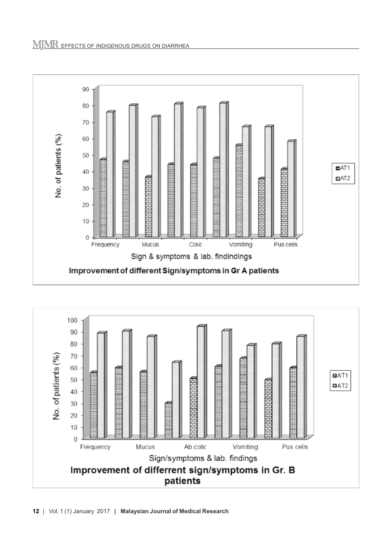